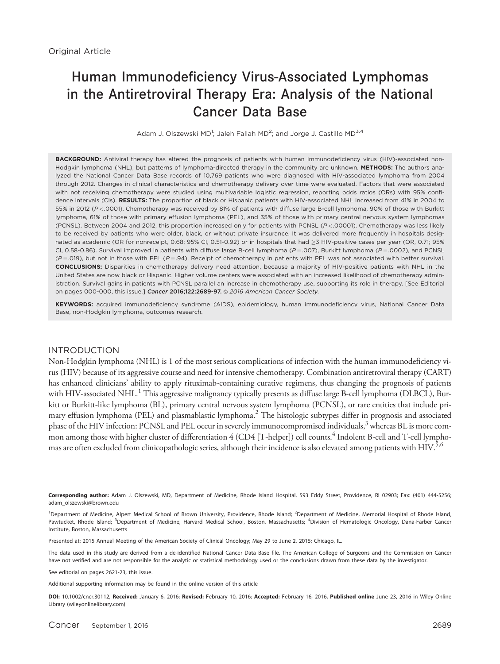# Human Immunodeficiency Virus-Associated Lymphomas in the Antiretroviral Therapy Era: Analysis of the National Cancer Data Base

Adam J. Olszewski MD<sup>1</sup>; Jaleh Fallah MD<sup>2</sup>; and Jorge J. Castillo MD<sup>3,4</sup>

BACKGROUND: Antiviral therapy has altered the prognosis of patients with human immunodeficiency virus (HIV)-associated non-Hodgkin lymphoma (NHL), but patterns of lymphoma-directed therapy in the community are unknown. METHODS: The authors analyzed the National Cancer Data Base records of 10,769 patients who were diagnosed with HIV-associated lymphoma from 2004 through 2012. Changes in clinical characteristics and chemotherapy delivery over time were evaluated. Factors that were associated with not receiving chemotherapy were studied using multivariable logistic regression, reporting odds ratios (ORs) with 95% confidence intervals (CIs). RESULTS: The proportion of black or Hispanic patients with HIV-associated NHL increased from 41% in 2004 to 55% in 2012 (P <.0001). Chemotherapy was received by 81% of patients with diffuse large B-cell lymphoma, 90% of those with Burkitt lymphoma, 61% of those with primary effusion lymphoma (PEL), and 35% of those with primary central nervous system lymphomas (PCNSL). Between 2004 and 2012, this proportion increased only for patients with PCNSL (P <.00001). Chemotherapy was less likely to be received by patients who were older, black, or without private insurance. It was delivered more frequently in hospitals designated as academic (OR for nonreceipt, 0.68; 95% CI, 0.51-0.92) or in hospitals that had  $\geq$ 3 HIV-positive cases per year (OR, 0.71; 95% CI, 0.58-0.86). Survival improved in patients with diffuse large B-cell lymphoma ( $P = .007$ ), Burkitt lymphoma ( $P = .0002$ ), and PCNSL  $(P = .019)$ , but not in those with PEL ( $P = .94$ ). Receipt of chemotherapy in patients with PEL was not associated with better survival. CONCLUSIONS: Disparities in chemotherapy delivery need attention, because a majority of HIV-positive patients with NHL in the United States are now black or Hispanic. Higher volume centers were associated with an increased likelihood of chemotherapy administration. Survival gains in patients with PCNSL parallel an increase in chemotherapy use, supporting its role in therapy. [See Editorial on pages 000-000, this issue.] Cancer 2016;122:2689-97. © 2016 American Cancer Society.

KEYWORDS: acquired immunodeficiency syndrome (AIDS), epidemiology, human immunodeficiency virus, National Cancer Data Base, non-Hodgkin lymphoma, outcomes research.

### INTRODUCTION

Non-Hodgkin lymphoma (NHL) is 1 of the most serious complications of infection with the human immunodeficiency virus (HIV) because of its aggressive course and need for intensive chemotherapy. Combination antiretroviral therapy (CART) has enhanced clinicians' ability to apply rituximab-containing curative regimens, thus changing the prognosis of patients with HIV-associated NHL.<sup>1</sup> This aggressive malignancy typically presents as diffuse large B-cell lymphoma (DLBCL), Burkitt or Burkitt-like lymphoma (BL), primary central nervous system lymphoma (PCNSL), or rare entities that include primary effusion lymphoma (PEL) and plasmablastic lymphoma.<sup>2</sup> The histologic subtypes differ in prognosis and associated phase of the HIV infection: PCNSL and PEL occur in severely immunocompromised individuals,<sup>3</sup> whereas BL is more common among those with higher cluster of differentiation 4 (CD4 [T-helper]) cell counts.<sup>4</sup> Indolent B-cell and T-cell lymphomas are often excluded from clinicopathologic series, although their incidence is also elevated among patients with HIV.<sup>5,6</sup>

Corresponding author: Adam J. Olszewski, MD, Department of Medicine, Rhode Island Hospital, 593 Eddy Street, Providence, RI 02903; Fax: (401) 444-5256; adam\_olszewski@brown.edu

<sup>1</sup>Department of Medicine, Alpert Medical School of Brown University, Providence, Rhode Island; <sup>2</sup>Department of Medicine, Memorial Hospital of Rhode Island, Pawtucket, Rhode Island; <sup>3</sup>Department of Medicine, Harvard Medical School, Boston, Massachusetts; <sup>4</sup>Division of Hematologic Oncology, Dana-Farber Cancer Institute, Boston, Massachusetts

Presented at: 2015 Annual Meeting of the American Society of Clinical Oncology; May 29 to June 2, 2015; Chicago, IL.

The data used in this study are derived from a de-identified National Cancer Data Base file. The American College of Surgeons and the Commission on Cancer have not verified and are not responsible for the analytic or statistical methodology used or the conclusions drawn from these data by the investigator.

See editorial on pages 2621-23, this issue.

Additional supporting information may be found in the online version of this article

DOI: 10.1002/cncr.30112, Received: January 6, 2016; Revised: February 10, 2016; Accepted: February 16, 2016, Published online June 23, 2016 in Wiley Online Library (wileyonlinelibrary.com)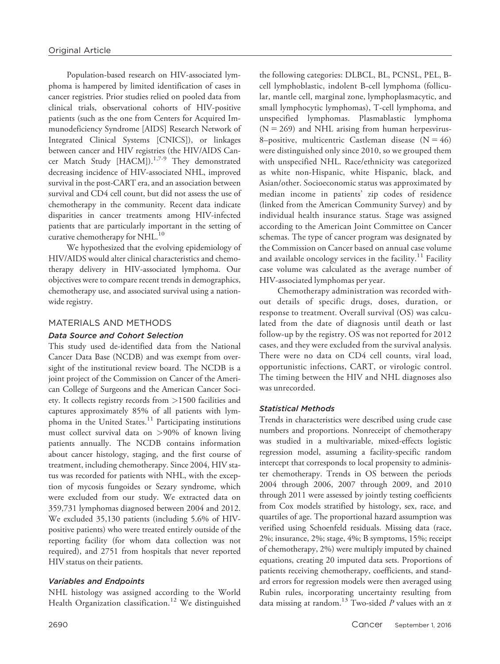Population-based research on HIV-associated lymphoma is hampered by limited identification of cases in cancer registries. Prior studies relied on pooled data from clinical trials, observational cohorts of HIV-positive patients (such as the one from Centers for Acquired Immunodeficiency Syndrome [AIDS] Research Network of Integrated Clinical Systems [CNICS]), or linkages between cancer and HIV registries (the HIV/AIDS Cancer Match Study [HACM]).<sup>1,7-9</sup> They demonstrated decreasing incidence of HIV-associated NHL, improved survival in the post-CART era, and an association between survival and CD4 cell count, but did not assess the use of chemotherapy in the community. Recent data indicate disparities in cancer treatments among HIV-infected patients that are particularly important in the setting of curative chemotherapy for NHL.<sup>10</sup>

We hypothesized that the evolving epidemiology of HIV/AIDS would alter clinical characteristics and chemotherapy delivery in HIV-associated lymphoma. Our objectives were to compare recent trends in demographics, chemotherapy use, and associated survival using a nationwide registry.

# MATERIALS AND METHODS

## Data Source and Cohort Selection

This study used de-identified data from the National Cancer Data Base (NCDB) and was exempt from oversight of the institutional review board. The NCDB is a joint project of the Commission on Cancer of the American College of Surgeons and the American Cancer Society. It collects registry records from >1500 facilities and captures approximately 85% of all patients with lymphoma in the United States.<sup>11</sup> Participating institutions must collect survival data on >90% of known living patients annually. The NCDB contains information about cancer histology, staging, and the first course of treatment, including chemotherapy. Since 2004, HIV status was recorded for patients with NHL, with the exception of mycosis fungoides or Sezary syndrome, which were excluded from our study. We extracted data on 359,731 lymphomas diagnosed between 2004 and 2012. We excluded 35,130 patients (including 5.6% of HIVpositive patients) who were treated entirely outside of the reporting facility (for whom data collection was not required), and 2751 from hospitals that never reported HIV status on their patients.

# Variables and Endpoints

NHL histology was assigned according to the World Health Organization classification.<sup>12</sup> We distinguished the following categories: DLBCL, BL, PCNSL, PEL, Bcell lymphoblastic, indolent B-cell lymphoma (follicular, mantle cell, marginal zone, lymphoplasmacytic, and small lymphocytic lymphomas), T-cell lymphoma, and unspecified lymphomas. Plasmablastic lymphoma  $(N = 269)$  and NHL arising from human herpesvirus-8–positive, multicentric Castleman disease  $(N = 46)$ were distinguished only since 2010, so we grouped them with unspecified NHL. Race/ethnicity was categorized as white non-Hispanic, white Hispanic, black, and Asian/other. Socioeconomic status was approximated by median income in patients' zip codes of residence (linked from the American Community Survey) and by individual health insurance status. Stage was assigned according to the American Joint Committee on Cancer schemas. The type of cancer program was designated by the Commission on Cancer based on annual case volume and available oncology services in the facility.<sup>11</sup> Facility case volume was calculated as the average number of HIV-associated lymphomas per year.

Chemotherapy administration was recorded without details of specific drugs, doses, duration, or response to treatment. Overall survival (OS) was calculated from the date of diagnosis until death or last follow-up by the registry. OS was not reported for 2012 cases, and they were excluded from the survival analysis. There were no data on CD4 cell counts, viral load, opportunistic infections, CART, or virologic control. The timing between the HIV and NHL diagnoses also was unrecorded.

# Statistical Methods

Trends in characteristics were described using crude case numbers and proportions. Nonreceipt of chemotherapy was studied in a multivariable, mixed-effects logistic regression model, assuming a facility-specific random intercept that corresponds to local propensity to administer chemotherapy. Trends in OS between the periods 2004 through 2006, 2007 through 2009, and 2010 through 2011 were assessed by jointly testing coefficients from Cox models stratified by histology, sex, race, and quartiles of age. The proportional hazard assumption was verified using Schoenfeld residuals. Missing data (race, 2%; insurance, 2%; stage, 4%; B symptoms, 15%; receipt of chemotherapy, 2%) were multiply imputed by chained equations, creating 20 imputed data sets. Proportions of patients receiving chemotherapy, coefficients, and standard errors for regression models were then averaged using Rubin rules, incorporating uncertainty resulting from data missing at random.<sup>13</sup> Two-sided P values with an  $\alpha$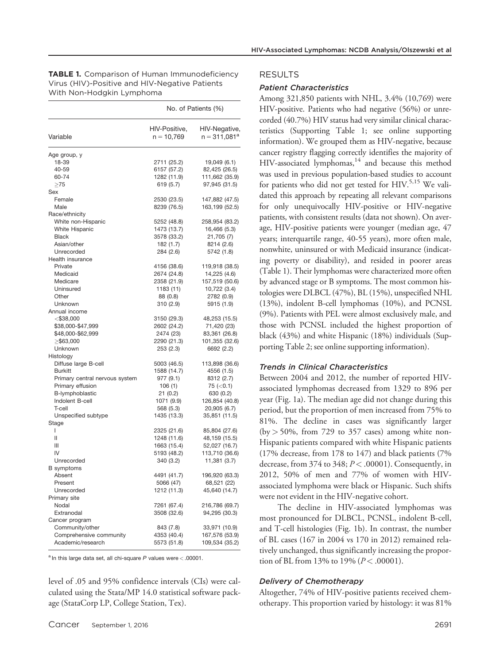TABLE 1. Comparison of Human Immunodeficiency Virus (HIV)-Positive and HIV-Negative Patients With Non-Hodgkin Lymphoma

|                                     | No. of Patients (%)           |                                  |
|-------------------------------------|-------------------------------|----------------------------------|
| Variable                            | HIV-Positive,<br>$n = 10,769$ | HIV-Negative,<br>$n = 311,081^a$ |
| Age group, y                        |                               |                                  |
| 18-39                               | 2711 (25.2)                   | 19,049 (6.1)                     |
| 40-59                               | 6157 (57.2)                   | 82,425 (26.5)                    |
| 60-74                               | 1282 (11.9)                   | 111,662 (35.9)                   |
| $\geq$ 75                           | 619 (5.7)                     | 97,945 (31.5)                    |
| Sex                                 |                               |                                  |
| Female                              | 2530 (23.5)                   | 147,882 (47.5)                   |
| Male                                | 8239 (76.5)                   | 163,199 (52.5)                   |
| Race/ethnicity                      |                               |                                  |
| White non-Hispanic                  | 5252 (48.8)                   | 258,954 (83.2)                   |
| <b>White Hispanic</b>               | 1473 (13.7)                   | 16,466 (5.3)                     |
| <b>Black</b>                        | 3578 (33.2)                   | 21,705 (7)                       |
| Asian/other                         | 182 (1.7)                     | 8214 (2.6)                       |
| Unrecorded                          | 284 (2.6)                     | 5742 (1.8)                       |
| Health insurance                    |                               |                                  |
| Private                             | 4156 (38.6)                   | 119,918 (38.5)                   |
| Medicaid                            | 2674 (24.8)                   | 14,225 (4.6)                     |
| Medicare                            | 2358 (21.9)                   | 157,519 (50.6)                   |
| Uninsured                           | 1183 (11)                     | 10,722 (3.4)                     |
| Other                               | 88 (0.8)                      | 2782 (0.9)                       |
| Unknown                             | 310 (2.9)                     | 5915 (1.9)                       |
| Annual income                       |                               |                                  |
| $<$ \$38,000                        | 3150 (29.3)                   | 48,253 (15.5)                    |
| \$38,000-\$47,999                   | 2602 (24.2)                   | 71,420 (23)                      |
| \$48,000-\$62,999<br>$\ge$ \$63,000 | 2474 (23)<br>2290 (21.3)      | 83,361 (26.8)                    |
| Unknown                             | 253 (2.3)                     | 101,355 (32.6)<br>6692 (2.2)     |
| Histology                           |                               |                                  |
| Diffuse large B-cell                | 5003 (46.5)                   | 113,898 (36.6)                   |
| <b>Burkitt</b>                      | 1588 (14.7)                   | 4556 (1.5)                       |
| Primary central nervous system      | 977 (9.1)                     | 8312 (2.7)                       |
| Primary effusion                    | 106(1)                        | 75 (< 0.1)                       |
| B-lymphoblastic                     | 21 (0.2)                      | 630 (0.2)                        |
| Indolent B-cell                     | 1071 (9.9)                    | 126,854 (40.8)                   |
| T-cell                              | 568 (5.3)                     | 20,905 (6.7)                     |
| Unspecified subtype                 | 1435 (13.3)                   | 35,851 (11.5)                    |
| Stage                               |                               |                                  |
| L                                   | 2325 (21.6)                   | 85,804 (27.6)                    |
| Ш                                   | 1248 (11.6)                   | 48,159 (15.5)                    |
| Ш                                   | 1663 (15.4)                   | 52,027 (16.7)                    |
| IV                                  | 5193 (48.2)                   | 113,710 (36.6)                   |
| Unrecorded                          | 340 (3.2)                     | 11,381 (3.7)                     |
| <b>B</b> symptoms                   |                               |                                  |
| Absent                              | 4491 (41.7)                   | 196,920 (63.3)                   |
| Present                             | 5066 (47)                     | 68,521 (22)                      |
| Unrecorded                          | 1212 (11.3)                   | 45,640 (14.7)                    |
| Primary site                        |                               |                                  |
| Nodal                               | 7261 (67.4)                   | 216,786 (69.7)                   |
| Extranodal                          | 3508 (32.6)                   | 94,295 (30.3)                    |
| Cancer program                      |                               |                                  |
| Community/other                     | 843 (7.8)                     | 33,971 (10.9)                    |
| Comprehensive community             | 4353 (40.4)                   | 167,576 (53.9)                   |
| Academic/research                   | 5573 (51.8)                   | 109,534 (35.2)                   |

<sup>a</sup> In this large data set, all chi-square P values were  $<$  00001.

level of .05 and 95% confidence intervals (CIs) were calculated using the Stata/MP 14.0 statistical software package (StataCorp LP, College Station, Tex).

## RESULTS

#### Patient Characteristics

Among 321,850 patients with NHL, 3.4% (10,769) were HIV-positive. Patients who had negative (56%) or unrecorded (40.7%) HIV status had very similar clinical characteristics (Supporting Table 1; see online supporting information). We grouped them as HIV-negative, because cancer registry flagging correctly identifies the majority of HIV-associated lymphomas,<sup>14</sup> and because this method was used in previous population-based studies to account for patients who did not get tested for  $HIV$ .<sup>5,15</sup> We validated this approach by repeating all relevant comparisons for only unequivocally HIV-positive or HIV-negative patients, with consistent results (data not shown). On average, HIV-positive patients were younger (median age, 47 years; interquartile range, 40-55 years), more often male, nonwhite, uninsured or with Medicaid insurance (indicating poverty or disability), and resided in poorer areas (Table 1). Their lymphomas were characterized more often by advanced stage or B symptoms. The most common histologies were DLBCL (47%), BL (15%), unspecified NHL (13%), indolent B-cell lymphomas (10%), and PCNSL (9%). Patients with PEL were almost exclusively male, and those with PCNSL included the highest proportion of black (43%) and white Hispanic (18%) individuals (Supporting Table 2; see online supporting information).

#### Trends in Clinical Characteristics

Between 2004 and 2012, the number of reported HIVassociated lymphomas decreased from 1329 to 896 per year (Fig. 1a). The median age did not change during this period, but the proportion of men increased from 75% to 81%. The decline in cases was significantly larger  $(by > 50\%$ , from 729 to 357 cases) among white non-Hispanic patients compared with white Hispanic patients (17% decrease, from 178 to 147) and black patients (7% decrease, from 374 to 348;  $P < .00001$ ). Consequently, in 2012, 50% of men and 77% of women with HIVassociated lymphoma were black or Hispanic. Such shifts were not evident in the HIV-negative cohort.

The decline in HIV-associated lymphomas was most pronounced for DLBCL, PCNSL, indolent B-cell, and T-cell histologies (Fig. 1b). In contrast, the number of BL cases (167 in 2004 vs 170 in 2012) remained relatively unchanged, thus significantly increasing the proportion of BL from 13% to 19% ( $P < .00001$ ).

#### Delivery of Chemotherapy

Altogether, 74% of HIV-positive patients received chemotherapy. This proportion varied by histology: it was 81%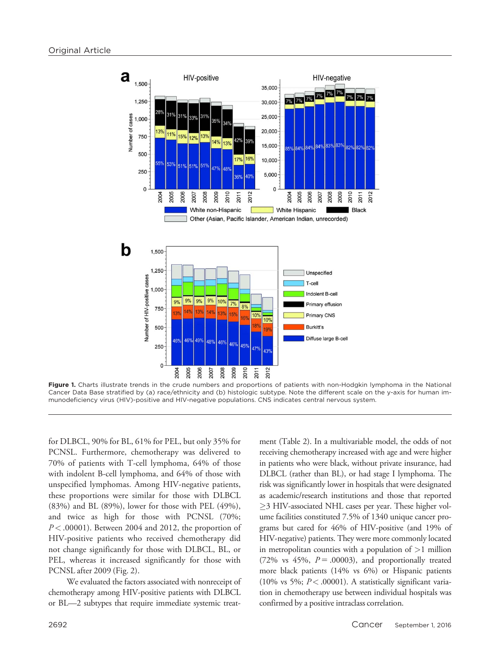

Figure 1. Charts illustrate trends in the crude numbers and proportions of patients with non-Hodgkin lymphoma in the National Cancer Data Base stratified by (a) race/ethnicity and (b) histologic subtype. Note the different scale on the y-axis for human immunodeficiency virus (HIV)-positive and HIV-negative populations. CNS indicates central nervous system.

for DLBCL, 90% for BL, 61% for PEL, but only 35% for PCNSL. Furthermore, chemotherapy was delivered to 70% of patients with T-cell lymphoma, 64% of those with indolent B-cell lymphoma, and 64% of those with unspecified lymphomas. Among HIV-negative patients, these proportions were similar for those with DLBCL (83%) and BL (89%), lower for those with PEL (49%), and twice as high for those with PCNSL (70%;  $P < .00001$ ). Between 2004 and 2012, the proportion of HIV-positive patients who received chemotherapy did not change significantly for those with DLBCL, BL, or PEL, whereas it increased significantly for those with PCNSL after 2009 (Fig. 2).

We evaluated the factors associated with nonreceipt of chemotherapy among HIV-positive patients with DLBCL or BL—2 subtypes that require immediate systemic treatment (Table 2). In a multivariable model, the odds of not receiving chemotherapy increased with age and were higher in patients who were black, without private insurance, had DLBCL (rather than BL), or had stage I lymphoma. The risk was significantly lower in hospitals that were designated as academic/research institutions and those that reported -3 HIV-associated NHL cases per year. These higher volume facilities constituted 7.5% of 1340 unique cancer programs but cared for 46% of HIV-positive (and 19% of HIV-negative) patients. They were more commonly located in metropolitan counties with a population of  $>1$  million (72% vs 45%,  $P = .00003$ ), and proportionally treated more black patients (14% vs 6%) or Hispanic patients (10% vs 5%;  $P < .00001$ ). A statistically significant variation in chemotherapy use between individual hospitals was confirmed by a positive intraclass correlation.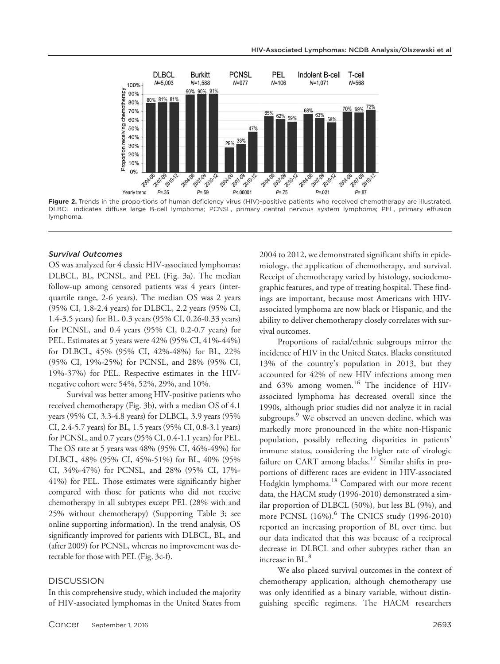

Figure 2. Trends in the proportions of human deficiency virus (HIV)-positive patients who received chemotherapy are illustrated. DLBCL indicates diffuse large B-cell lymphoma; PCNSL, primary central nervous system lymphoma; PEL, primary effusion lymphoma.

#### Survival Outcomes

OS was analyzed for 4 classic HIV-associated lymphomas: DLBCL, BL, PCNSL, and PEL (Fig. 3a). The median follow-up among censored patients was 4 years (interquartile range, 2-6 years). The median OS was 2 years (95% CI, 1.8-2.4 years) for DLBCL, 2.2 years (95% CI, 1.4-3.5 years) for BL, 0.3 years (95% CI, 0.26-0.33 years) for PCNSL, and 0.4 years (95% CI, 0.2-0.7 years) for PEL. Estimates at 5 years were 42% (95% CI, 41%-44%) for DLBCL, 45% (95% CI, 42%-48%) for BL, 22% (95% CI, 19%-25%) for PCNSL, and 28% (95% CI, 19%-37%) for PEL. Respective estimates in the HIVnegative cohort were 54%, 52%, 29%, and 10%.

Survival was better among HIV-positive patients who received chemotherapy (Fig. 3b), with a median OS of 4.1 years (95% CI, 3.3-4.8 years) for DLBCL, 3.9 years (95% CI, 2.4-5.7 years) for BL, 1.5 years (95% CI, 0.8-3.1 years) for PCNSL, and 0.7 years (95% CI, 0.4-1.1 years) for PEL. The OS rate at 5 years was 48% (95% CI, 46%-49%) for DLBCL, 48% (95% CI, 45%-51%) for BL, 40% (95% CI, 34%-47%) for PCNSL, and 28% (95% CI, 17%- 41%) for PEL. Those estimates were significantly higher compared with those for patients who did not receive chemotherapy in all subtypes except PEL (28% with and 25% without chemotherapy) (Supporting Table 3; see online supporting information). In the trend analysis, OS significantly improved for patients with DLBCL, BL, and (after 2009) for PCNSL, whereas no improvement was detectable for those with PEL (Fig. 3c-f).

## **DISCUSSION**

In this comprehensive study, which included the majority of HIV-associated lymphomas in the United States from

2004 to 2012, we demonstrated significant shifts in epidemiology, the application of chemotherapy, and survival. Receipt of chemotherapy varied by histology, sociodemographic features, and type of treating hospital. These findings are important, because most Americans with HIVassociated lymphoma are now black or Hispanic, and the ability to deliver chemotherapy closely correlates with survival outcomes.

Proportions of racial/ethnic subgroups mirror the incidence of HIV in the United States. Blacks constituted 13% of the country's population in 2013, but they accounted for 42% of new HIV infections among men and 63% among women.<sup>16</sup> The incidence of HIVassociated lymphoma has decreased overall since the 1990s, although prior studies did not analyze it in racial subgroups.<sup>9</sup> We observed an uneven decline, which was markedly more pronounced in the white non-Hispanic population, possibly reflecting disparities in patients' immune status, considering the higher rate of virologic failure on CART among blacks.<sup>17</sup> Similar shifts in proportions of different races are evident in HIV-associated Hodgkin lymphoma.<sup>18</sup> Compared with our more recent data, the HACM study (1996-2010) demonstrated a similar proportion of DLBCL (50%), but less BL (9%), and more PCNSL (16%).<sup>6</sup> The CNICS study (1996-2010) reported an increasing proportion of BL over time, but our data indicated that this was because of a reciprocal decrease in DLBCL and other subtypes rather than an increase in BL.<sup>8</sup>

We also placed survival outcomes in the context of chemotherapy application, although chemotherapy use was only identified as a binary variable, without distinguishing specific regimens. The HACM researchers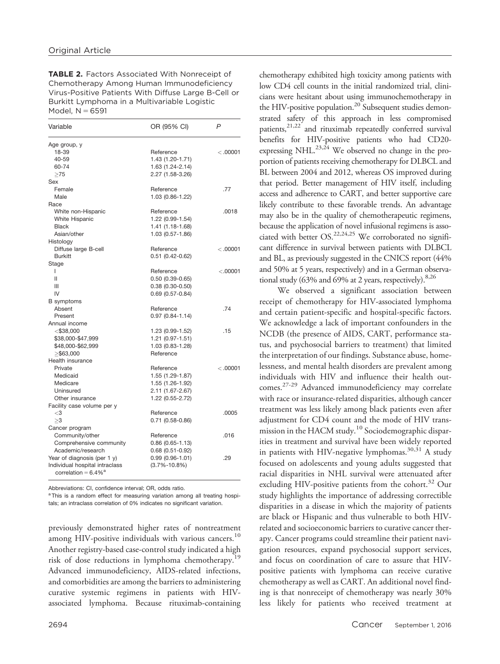TABLE 2. Factors Associated With Nonreceipt of Chemotherapy Among Human Immunodeficiency Virus-Positive Patients With Diffuse Large B-Cell or Burkitt Lymphoma in a Multivariable Logistic Model,  $N = 6591$ 

| Variable                           | OR (95% CI)            | P        |
|------------------------------------|------------------------|----------|
| Age group, y                       |                        |          |
| 18-39                              | Reference              | < 0.0001 |
| 40-59                              | 1.43 (1.20-1.71)       |          |
| 60-74                              | 1.63 (1.24-2.14)       |          |
| >75                                | 2.27 (1.58-3.26)       |          |
| Sex                                |                        |          |
| Female                             | Reference              | .77      |
| Male                               | 1.03 (0.86-1.22)       |          |
| Race                               |                        |          |
| White non-Hispanic                 | Reference              | .0018    |
| <b>White Hispanic</b>              | 1.22 (0.99-1.54)       |          |
| Black                              | 1.41 (1.18-1.68)       |          |
| Asian/other                        | 1.03 (0.57-1.86)       |          |
| Histology                          |                        |          |
| Diffuse large B-cell               | Reference              | < 0.0001 |
| <b>Burkitt</b>                     | $0.51(0.42 - 0.62)$    |          |
| Stage                              |                        |          |
| L                                  | Reference              | < .00001 |
| Ш                                  | $0.50(0.39 - 0.65)$    |          |
| Ш                                  | $0.38(0.30-0.50)$      |          |
| IV                                 | $0.69$ (0.57-0.84)     |          |
| <b>B</b> symptoms                  |                        |          |
| Absent                             | Reference              | .74      |
| Present                            | $0.97(0.84 - 1.14)$    |          |
| Annual income                      |                        |          |
| $<$ \$38,000                       | 1.23 (0.99-1.52)       | .15      |
| \$38,000-\$47,999                  | 1.21 (0.97-1.51)       |          |
| \$48,000-\$62,999                  | 1.03 (0.83-1.28)       |          |
| $>$ \$63,000                       | Reference              |          |
| Health insurance                   |                        |          |
| Private                            | Reference              | < 0.0001 |
| Medicaid                           | 1.55 (1.29-1.87)       |          |
| Medicare                           | 1.55 (1.26-1.92)       |          |
| Uninsured                          | 2.11 (1.67-2.67)       |          |
| Other insurance                    | 1.22 (0.55-2.72)       |          |
| Facility case volume per y         |                        |          |
| $<$ 3                              | Reference              | .0005    |
| >3                                 | $0.71(0.58-0.86)$      |          |
| Cancer program                     |                        |          |
| Community/other                    | Reference              | .016     |
| Comprehensive community            | $0.86$ (0.65-1.13)     |          |
| Academic/research                  | $0.68$ $(0.51 - 0.92)$ |          |
| Year of diagnosis (per 1 y)        | $0.99(0.96 - 1.01)$    | .29      |
| Individual hospital intraclass     | $(3.7\% - 10.8\%)$     |          |
| correlation = $6.4\%$ <sup>a</sup> |                        |          |

Abbreviations: CI, confidence interval; OR, odds ratio.

<sup>a</sup> This is a random effect for measuring variation among all treating hospitals; an intraclass correlation of 0% indicates no significant variation.

previously demonstrated higher rates of nontreatment among HIV-positive individuals with various cancers.<sup>10</sup> Another registry-based case-control study indicated a high risk of dose reductions in lymphoma chemotherapy.<sup>19</sup> Advanced immunodeficiency, AIDS-related infections, and comorbidities are among the barriers to administering curative systemic regimens in patients with HIVassociated lymphoma. Because rituximab-containing

chemotherapy exhibited high toxicity among patients with low CD4 cell counts in the initial randomized trial, clinicians were hesitant about using immunochemotherapy in the HIV-positive population.<sup>20</sup> Subsequent studies demonstrated safety of this approach in less compromised patients,<sup>21,22</sup> and rituximab repeatedly conferred survival benefits for HIV-positive patients who had CD20 expressing NHL. $^{23,\overline{24}}$  We observed no change in the proportion of patients receiving chemotherapy for DLBCL and BL between 2004 and 2012, whereas OS improved during that period. Better management of HIV itself, including access and adherence to CART, and better supportive care likely contribute to these favorable trends. An advantage may also be in the quality of chemotherapeutic regimens, because the application of novel infusional regimens is associated with better  $OS^{22,24,25}$  We corroborated no significant difference in survival between patients with DLBCL and BL, as previously suggested in the CNICS report (44% and 50% at 5 years, respectively) and in a German observational study (63% and 69% at 2 years, respectively).  $8,26$ 

We observed a significant association between receipt of chemotherapy for HIV-associated lymphoma and certain patient-specific and hospital-specific factors. We acknowledge a lack of important confounders in the NCDB (the presence of AIDS, CART, performance status, and psychosocial barriers to treatment) that limited the interpretation of our findings. Substance abuse, homelessness, and mental health disorders are prevalent among individuals with HIV and influence their health outcomes.<sup>27-29</sup> Advanced immunodeficiency may correlate with race or insurance-related disparities, although cancer treatment was less likely among black patients even after adjustment for CD4 count and the mode of HIV transmission in the HACM study.<sup>10</sup> Sociodemographic disparities in treatment and survival have been widely reported in patients with HIV-negative lymphomas.<sup>30,31</sup> A study focused on adolescents and young adults suggested that racial disparities in NHL survival were attenuated after excluding HIV-positive patients from the cohort.<sup>32</sup> Our study highlights the importance of addressing correctible disparities in a disease in which the majority of patients are black or Hispanic and thus vulnerable to both HIVrelated and socioeconomic barriers to curative cancer therapy. Cancer programs could streamline their patient navigation resources, expand psychosocial support services, and focus on coordination of care to assure that HIVpositive patients with lymphoma can receive curative chemotherapy as well as CART. An additional novel finding is that nonreceipt of chemotherapy was nearly 30% less likely for patients who received treatment at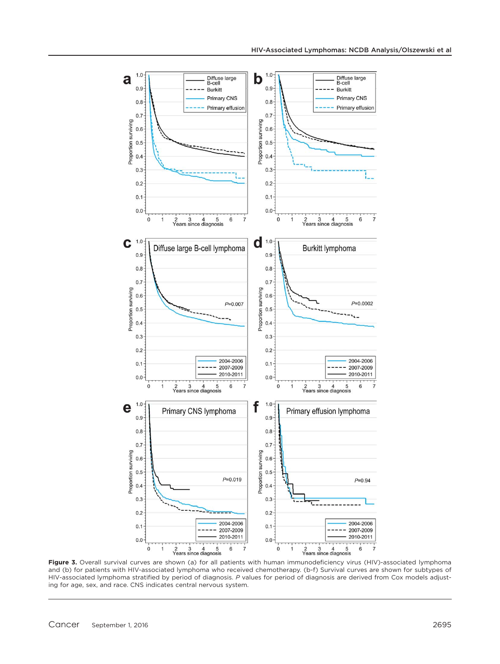

Figure 3. Overall survival curves are shown (a) for all patients with human immunodeficiency virus (HIV)-associated lymphoma and (b) for patients with HIV-associated lymphoma who received chemotherapy. (b-f) Survival curves are shown for subtypes of HIV-associated lymphoma stratified by period of diagnosis. P values for period of diagnosis are derived from Cox models adjusting for age, sex, and race. CNS indicates central nervous system.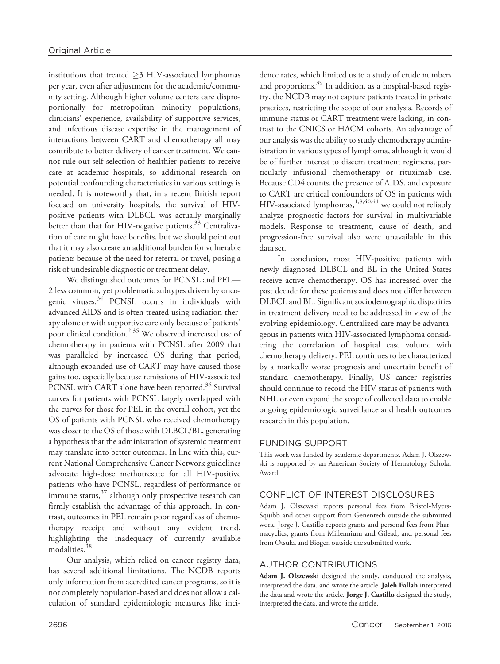institutions that treated  $\geq$ 3 HIV-associated lymphomas per year, even after adjustment for the academic/community setting. Although higher volume centers care disproportionally for metropolitan minority populations, clinicians' experience, availability of supportive services, and infectious disease expertise in the management of interactions between CART and chemotherapy all may contribute to better delivery of cancer treatment. We cannot rule out self-selection of healthier patients to receive care at academic hospitals, so additional research on potential confounding characteristics in various settings is needed. It is noteworthy that, in a recent British report focused on university hospitals, the survival of HIVpositive patients with DLBCL was actually marginally better than that for HIV-negative patients.<sup>33</sup> Centralization of care might have benefits, but we should point out that it may also create an additional burden for vulnerable patients because of the need for referral or travel, posing a risk of undesirable diagnostic or treatment delay.

We distinguished outcomes for PCNSL and PEL— 2 less common, yet problematic subtypes driven by oncogenic viruses.<sup>34</sup> PCNSL occurs in individuals with advanced AIDS and is often treated using radiation therapy alone or with supportive care only because of patients' poor clinical condition.2,35 We observed increased use of chemotherapy in patients with PCNSL after 2009 that was paralleled by increased OS during that period, although expanded use of CART may have caused those gains too, especially because remissions of HIV-associated PCNSL with CART alone have been reported.<sup>36</sup> Survival curves for patients with PCNSL largely overlapped with the curves for those for PEL in the overall cohort, yet the OS of patients with PCNSL who received chemotherapy was closer to the OS of those with DLBCL/BL, generating a hypothesis that the administration of systemic treatment may translate into better outcomes. In line with this, current National Comprehensive Cancer Network guidelines advocate high-dose methotrexate for all HIV-positive patients who have PCNSL, regardless of performance or immune status, $37$  although only prospective research can firmly establish the advantage of this approach. In contrast, outcomes in PEL remain poor regardless of chemotherapy receipt and without any evident trend, highlighting the inadequacy of currently available modalities.<sup>3</sup>

Our analysis, which relied on cancer registry data, has several additional limitations. The NCDB reports only information from accredited cancer programs, so it is not completely population-based and does not allow a calculation of standard epidemiologic measures like incidence rates, which limited us to a study of crude numbers and proportions.<sup>39</sup> In addition, as a hospital-based registry, the NCDB may not capture patients treated in private practices, restricting the scope of our analysis. Records of immune status or CART treatment were lacking, in contrast to the CNICS or HACM cohorts. An advantage of our analysis was the ability to study chemotherapy administration in various types of lymphoma, although it would be of further interest to discern treatment regimens, particularly infusional chemotherapy or rituximab use. Because CD4 counts, the presence of AIDS, and exposure to CART are critical confounders of OS in patients with HIV-associated lymphomas,<sup>1,8,40,41</sup> we could not reliably analyze prognostic factors for survival in multivariable models. Response to treatment, cause of death, and progression-free survival also were unavailable in this data set.

In conclusion, most HIV-positive patients with newly diagnosed DLBCL and BL in the United States receive active chemotherapy. OS has increased over the past decade for these patients and does not differ between DLBCL and BL. Significant sociodemographic disparities in treatment delivery need to be addressed in view of the evolving epidemiology. Centralized care may be advantageous in patients with HIV-associated lymphoma considering the correlation of hospital case volume with chemotherapy delivery. PEL continues to be characterized by a markedly worse prognosis and uncertain benefit of standard chemotherapy. Finally, US cancer registries should continue to record the HIV status of patients with NHL or even expand the scope of collected data to enable ongoing epidemiologic surveillance and health outcomes research in this population.

## FUNDING SUPPORT

This work was funded by academic departments. Adam J. Olszewski is supported by an American Society of Hematology Scholar Award.

#### CONFLICT OF INTEREST DISCLOSURES

Adam J. Olszewski reports personal fees from Bristol-Myers-Squibb and other support from Genentech outside the submitted work. Jorge J. Castillo reports grants and personal fees from Pharmacyclics, grants from Millennium and Gilead, and personal fees from Otsuka and Biogen outside the submitted work.

## AUTHOR CONTRIBUTIONS

Adam J. Olszewski designed the study, conducted the analysis, interpreted the data, and wrote the article. Jaleh Fallah interpreted the data and wrote the article. Jorge J. Castillo designed the study, interpreted the data, and wrote the article.